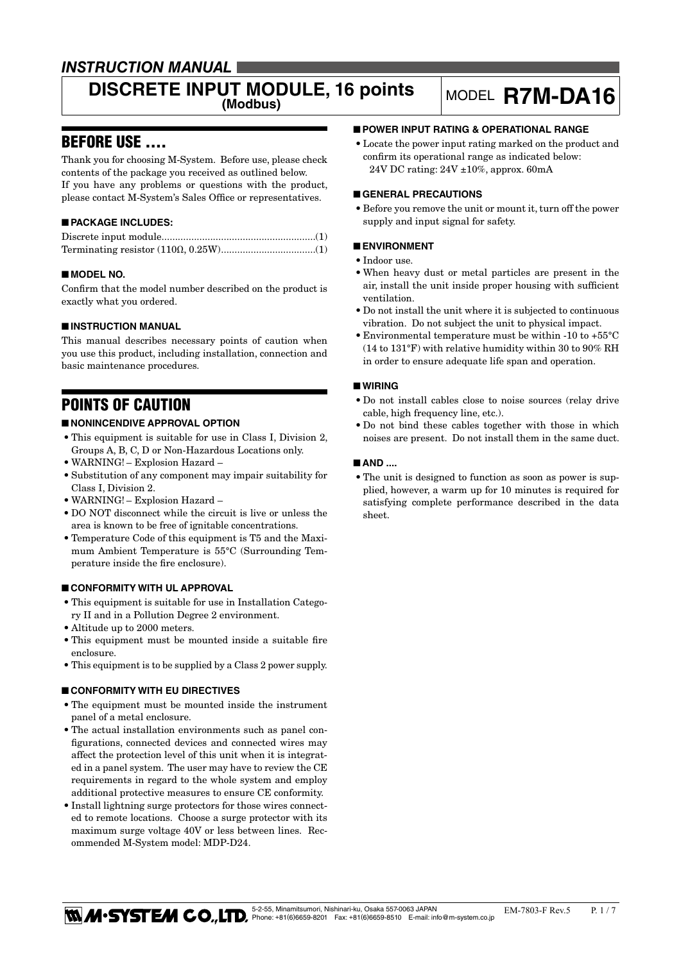## *INSTRUCTION MANUAL*

## **DISCRETE INPUT MODULE, 16 points** MODEL **R7M-DA16**

## BEFORE USE ....

Thank you for choosing M-System. Before use, please check contents of the package you received as outlined below. If you have any problems or questions with the product, please contact M-System's Sales Office or representatives.

### ■ **PACKAGE INCLUDES:**

#### ■ **MODEL NO.**

Confirm that the model number described on the product is exactly what you ordered.

#### ■ **INSTRUCTION MANUAL**

This manual describes necessary points of caution when you use this product, including installation, connection and basic maintenance procedures.

## POINTS OF CAUTION

#### ■ **NONINCENDIVE APPROVAL OPTION**

- • This equipment is suitable for use in Class I, Division 2, Groups A, B, C, D or Non-Hazardous Locations only.
- • WARNING! Explosion Hazard –
- • Substitution of any component may impair suitability for Class I, Division 2.
- • WARNING! Explosion Hazard –
- DO NOT disconnect while the circuit is live or unless the area is known to be free of ignitable concentrations.
- • Temperature Code of this equipment is T5 and the Maximum Ambient Temperature is 55°C (Surrounding Temperature inside the fire enclosure).

#### ■ **CONFORMITY WITH UL APPROVAL**

- • This equipment is suitable for use in Installation Category II and in a Pollution Degree 2 environment.
- • Altitude up to 2000 meters.
- This equipment must be mounted inside a suitable fire enclosure.
- This equipment is to be supplied by a Class 2 power supply.

#### ■ **CONFORMITY WITH EU DIRECTIVES**

- • The equipment must be mounted inside the instrument panel of a metal enclosure.
- The actual installation environments such as panel configurations, connected devices and connected wires may affect the protection level of this unit when it is integrated in a panel system. The user may have to review the CE requirements in regard to the whole system and employ additional protective measures to ensure CE conformity.
- Install lightning surge protectors for those wires connected to remote locations. Choose a surge protector with its maximum surge voltage 40V or less between lines. Recommended M-System model: MDP-D24.

#### ■ **POWER INPUT RATING & OPERATIONAL RANGE**

• Locate the power input rating marked on the product and confirm its operational range as indicated below: 24V DC rating: 24V ±10%, approx. 60mA

#### ■ **GENERAL PRECAUTIONS**

• Before you remove the unit or mount it, turn off the power supply and input signal for safety.

#### ■ **ENVIRONMENT**

- Indoor use.
- • When heavy dust or metal particles are present in the air, install the unit inside proper housing with sufficient ventilation.
- • Do not install the unit where it is subjected to continuous vibration. Do not subject the unit to physical impact.
- Environmental temperature must be within -10 to  $+55^{\circ}$ C (14 to 131°F) with relative humidity within 30 to 90% RH in order to ensure adequate life span and operation.

#### ■ **WIRING**

- • Do not install cables close to noise sources (relay drive cable, high frequency line, etc.).
- Do not bind these cables together with those in which noises are present. Do not install them in the same duct.

#### ■ **AND** ....

• The unit is designed to function as soon as power is supplied, however, a warm up for 10 minutes is required for satisfying complete performance described in the data sheet.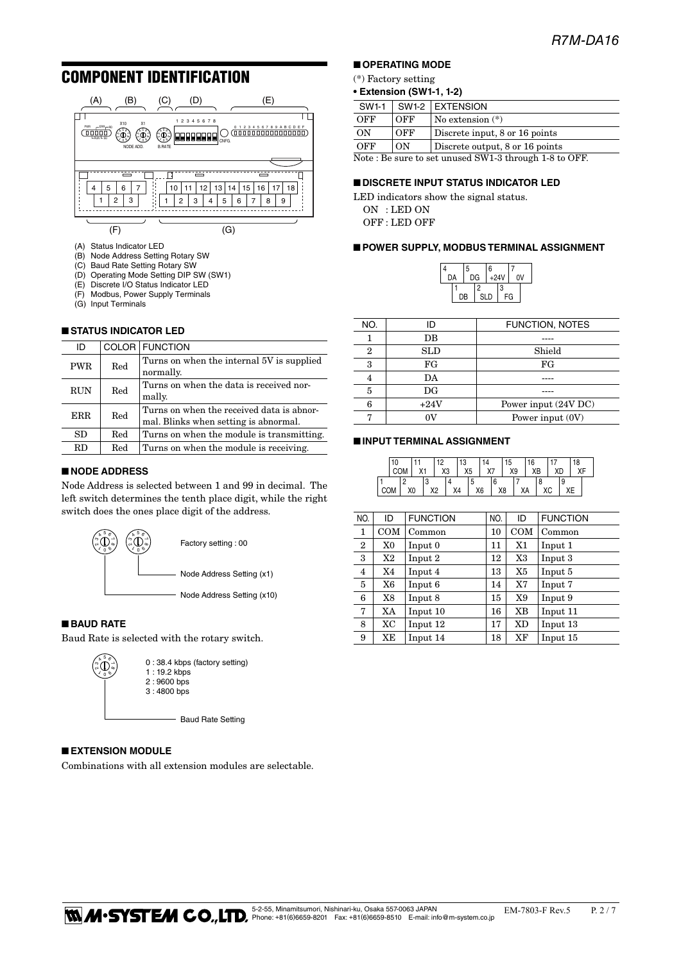## COMPONENT IDENTIFICATION



- (A) Status Indicator LED
- (B) Node Address Setting Rotary SW
- (C) Baud Rate Setting Rotary SW
- (D) Operating Mode Setting DIP SW (SW1)
- (E) Discrete I/O Status Indicator LED<br>(F) Modbus, Power Supply Terminals
- Modbus, Power Supply Terminals
- (G) Input Terminals

#### ■ **STATUS INDICATOR LED**

| ID         |     | COLOR FUNCTION                                                                     |
|------------|-----|------------------------------------------------------------------------------------|
| <b>PWR</b> | Red | Turns on when the internal 5V is supplied<br>normally.                             |
| <b>RUN</b> | Red | Turns on when the data is received nor-<br>mally.                                  |
| <b>ERR</b> | Red | Turns on when the received data is abnor-<br>mal. Blinks when setting is abnormal. |
| SD         | Red | Turns on when the module is transmitting.                                          |
| RD         | Red | Turns on when the module is receiving.                                             |
|            |     |                                                                                    |

#### ■ **NODE ADDRESS**

Node Address is selected between 1 and 99 in decimal. The left switch determines the tenth place digit, while the right switch does the ones place digit of the address.



#### ■ **BAUD RATE**

 $\bigoplus_{\ell=0}^{n} 5 \bigoplus_{\ell=0}^{n} 5$  $^{\circ}$ 2

Baud Rate is selected with the rotary switch.

0 : 38.4 kbps (factory setting) 1 : 19.2 kbps 2 : 9600 bps 3 : 4800 bps

- Baud Rate Setting

#### ■ **EXTENSION MODULE**

Combinations with all extension modules are selectable.

#### ■ **OPERATING MODE**

#### (\*) Factory setting

| SW1-1                                                 |     | SW1-2 EXTENSION                 |  |  |  |  |
|-------------------------------------------------------|-----|---------------------------------|--|--|--|--|
| OFF                                                   | OFF | $\sqrt{N}$ No extension $(*)$   |  |  |  |  |
| ON                                                    | OFF | Discrete input, 8 or 16 points  |  |  |  |  |
| OFF                                                   | ON  | Discrete output, 8 or 16 points |  |  |  |  |
| Note: Be sure to set unused SW1-3 through 1-8 to OFF. |     |                                 |  |  |  |  |

#### ■ **DISCRETE INPUT STATUS INDICATOR LED**

LED indicators show the signal status. ON : LED ON OFF : LED OFF

#### ■ **POWER SUPPLY, MODBUS TERMINAL ASSIGNMENT**

|    | 5 |            | 6 |        |  |    |
|----|---|------------|---|--------|--|----|
| DA |   | DG         |   | $+24V$ |  | 0V |
|    |   | 2          |   | 3      |  |    |
| DB |   | <b>SLD</b> |   | FG     |  |    |

| NO. | חו          | <b>FUNCTION, NOTES</b> |
|-----|-------------|------------------------|
|     | DB          |                        |
| 2   | SLD         | Shield                 |
| 3   | FG          | FG                     |
| 4   | DA          |                        |
| 5   | $_{\rm DG}$ |                        |
| 6   | $+24V$      | Power input (24V DC)   |
|     |             | Power input (0V)       |
|     |             |                        |

#### ■ **INPUT TERMINAL ASSIGNMENT**

|            | 10 |    |        |    |    |    | 13             |                      |         |    | 15 |    | 16 |  |     | 18 |  |
|------------|----|----|--------|----|----|----|----------------|----------------------|---------|----|----|----|----|--|-----|----|--|
|            |    |    | $\vee$ |    | X3 |    | X <sub>5</sub> |                      | Y7<br>" |    | X9 |    | XB |  | XD. |    |  |
|            |    |    |        | w  |    |    |                | $\ddot{\phantom{a}}$ |         |    |    |    |    |  |     |    |  |
| <b>COM</b> |    | X0 |        | ٧o |    | X4 |                | X6                   |         | X8 |    | ΧA |    |  |     |    |  |

| NO.            | ID  | <b>FUNCTION</b> | NO. | ID             | <b>FUNCTION</b> |
|----------------|-----|-----------------|-----|----------------|-----------------|
| 1              | COM | Common          | 10  | COM            | Common          |
| $\overline{2}$ | X0  | Input 0         | 11  | X1             | Input 1         |
| 3              | X2  | Input 2         | 12  | X3             | Input 3         |
| $\overline{4}$ | X4  | Input 4         | 13  | X <sub>5</sub> | Input 5         |
| 5              | X6  | Input 6         | 14  | X7             | Input 7         |
| 6              | X8  | Input 8         | 15  | X9             | Input 9         |
| 7              | XA  | Input 10        | 16  | XB             | Input 11        |
| 8              | XC  | Input 12        | 17  | XD             | Input 13        |
| 9              | XE  | Input 14        | 18  | XF             | Input 15        |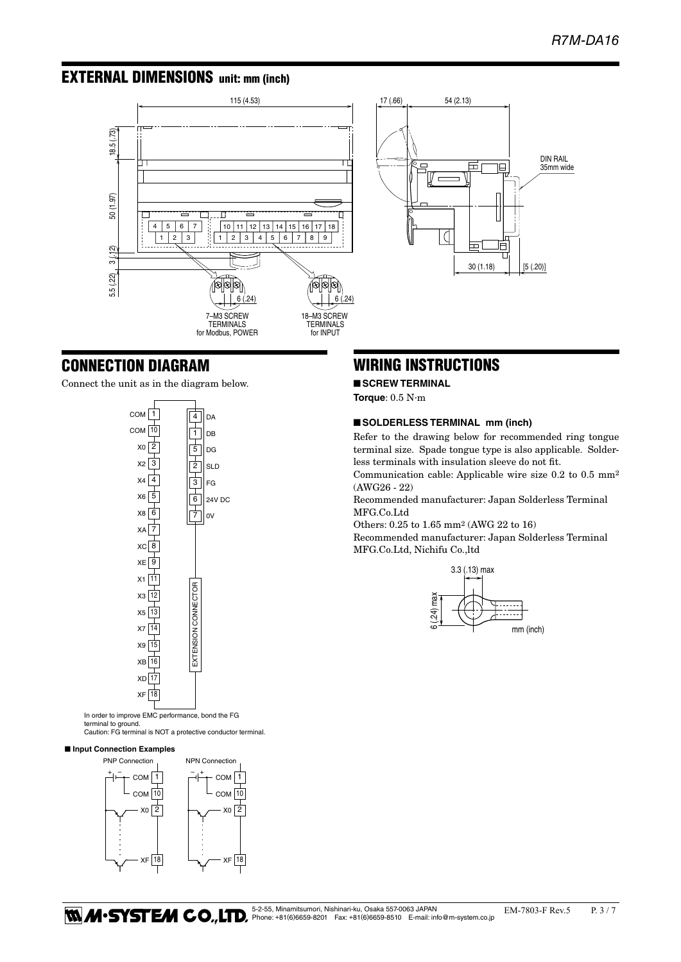DIN RAIL 35mm wide

## EXTERNAL DIMENSIONS unit: mm (inch)



# WIRING INSTRUCTIONS

17 (.66) 54 (2.13)

 $\Box$ 

#### ■ **SCREW TERMINAL**

**Torque**: 0.5 N·m

#### ■ **SOLDERLESS TERMINAL** mm (inch)

Refer to the drawing below for recommended ring tongue terminal size. Spade tongue type is also applicable. Solderless terminals with insulation sleeve do not fit.

30 (1.18)  $\left| \right|$  [5 (.20)]

 $\Box$ 

Communication cable: Applicable wire size 0.2 to 0.5 mm2 (AWG26 - 22)

Recommended manufacturer: Japan Solderless Terminal MFG.Co.Ltd

Others: 0.25 to 1.65 mm2 (AWG 22 to 16)

Recommended manufacturer: Japan Solderless Terminal MFG.Co.Ltd, Nichifu Co.,ltd





CONNECTION DIAGRAM

In order to improve EMC performance, bond the FG

terminal to ground. Caution: FG terminal is NOT a protective conductor terminal.

#### ■ **Input Connection Examples**

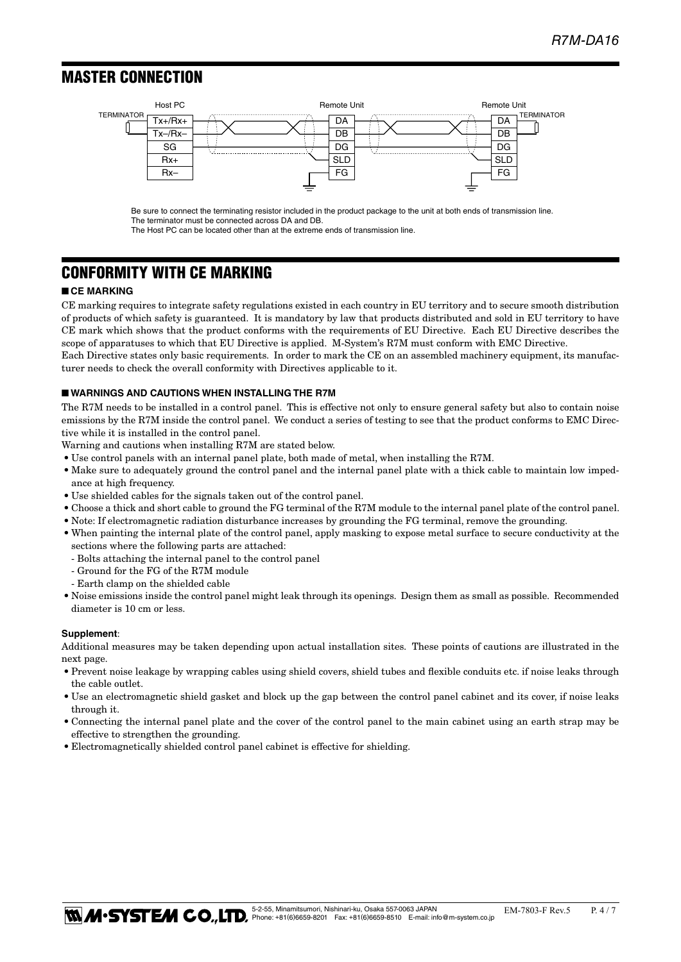### MASTER CONNECTION ■ **MASTER CONNECTION**



Be sure to connect the terminating resistor included in the product package to the unit at both ends of transmission line. The terminator must be connected across DA and DB.

The Host PC can be located other than at the extreme ends of transmission line.

## CONFORMITY WITH CE MARKING

#### ■ **CE MARKING**

CE marking requires to integrate safety regulations existed in each country in EU territory and to secure smooth distribution of products of which safety is guaranteed. It is mandatory by law that products distributed and sold in EU territory to have CE mark which shows that the product conforms with the requirements of EU Directive. Each EU Directive describes the scope of apparatuses to which that EU Directive is applied. M-System's R7M must conform with EMC Directive. Each Directive states only basic requirements. In order to mark the CE on an assembled machinery equipment, its manufac-

turer needs to check the overall conformity with Directives applicable to it.

#### ■ **WARNINGS AND CAUTIONS WHEN INSTALLING THE R7M**

The R7M needs to be installed in a control panel. This is effective not only to ensure general safety but also to contain noise emissions by the R7M inside the control panel. We conduct a series of testing to see that the product conforms to EMC Directive while it is installed in the control panel.

Warning and cautions when installing R7M are stated below.

- • Use control panels with an internal panel plate, both made of metal, when installing the R7M.
- Make sure to adequately ground the control panel and the internal panel plate with a thick cable to maintain low impedance at high frequency.
- $\bullet$  Use shielded cables for the signals taken out of the control panel.
- • Choose a thick and short cable to ground the FG terminal of the R7M module to the internal panel plate of the control panel.
- • Note: If electromagnetic radiation disturbance increases by grounding the FG terminal, remove the grounding.
- • When painting the internal plate of the control panel, apply masking to expose metal surface to secure conductivity at the sections where the following parts are attached:
	- Bolts attaching the internal panel to the control panel
	- Ground for the FG of the R7M module
	- Earth clamp on the shielded cable
- • Noise emissions inside the control panel might leak through its openings. Design them as small as possible. Recommended diameter is 10 cm or less.

#### **Supplement**:

Additional measures may be taken depending upon actual installation sites. These points of cautions are illustrated in the next page.

- • Prevent noise leakage by wrapping cables using shield covers, shield tubes and flexible conduits etc. if noise leaks through the cable outlet.
- Use an electromagnetic shield gasket and block up the gap between the control panel cabinet and its cover, if noise leaks through it.
- • Connecting the internal panel plate and the cover of the control panel to the main cabinet using an earth strap may be effective to strengthen the grounding.
- Electromagnetically shielded control panel cabinet is effective for shielding.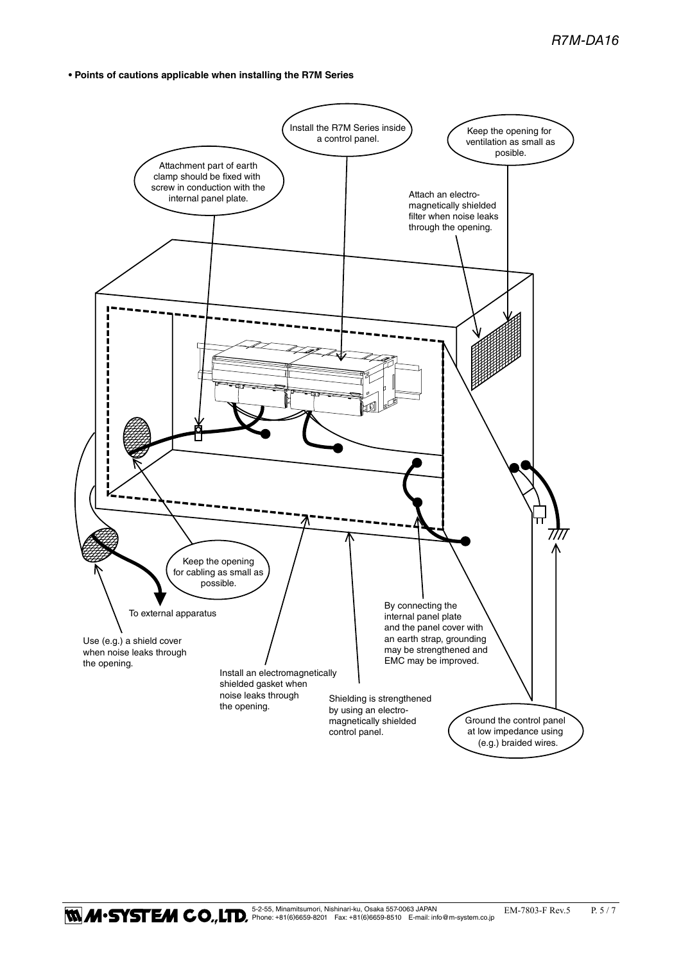**• Points of cautions applicable when installing the R7M Series**

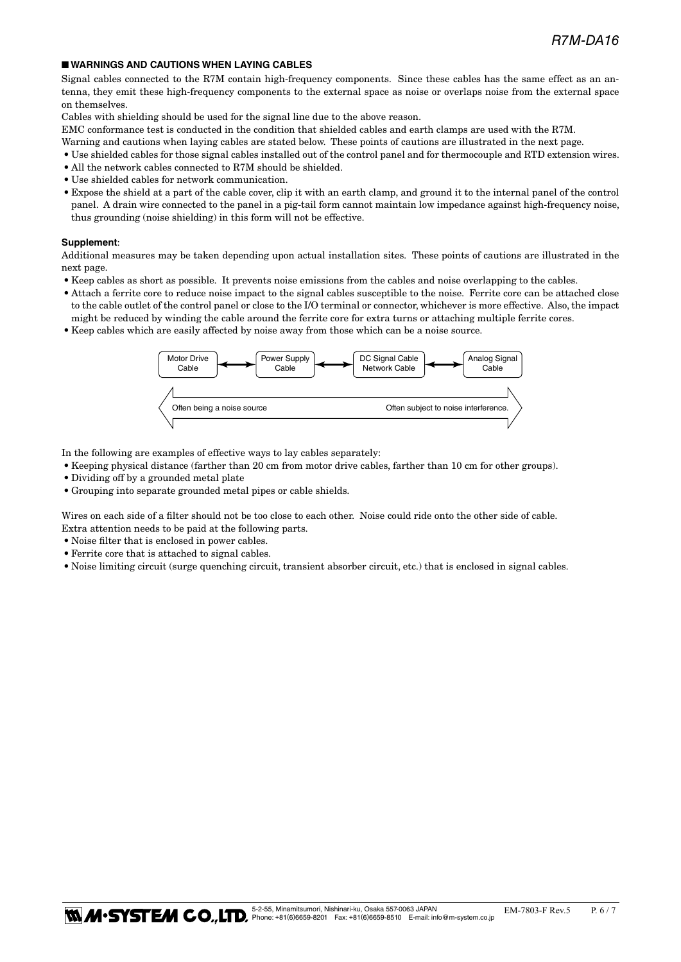#### ■ **WARNINGS AND CAUTIONS WHEN LAYING CABLES**

Signal cables connected to the R7M contain high-frequency components. Since these cables has the same effect as an antenna, they emit these high-frequency components to the external space as noise or overlaps noise from the external space on themselves.

Cables with shielding should be used for the signal line due to the above reason.

EMC conformance test is conducted in the condition that shielded cables and earth clamps are used with the R7M.

- Warning and cautions when laying cables are stated below. These points of cautions are illustrated in the next page.
- • Use shielded cables for those signal cables installed out of the control panel and for thermocouple and RTD extension wires.
- All the network cables connected to R7M should be shielded.
- • Use shielded cables for network communication.
- • Expose the shield at a part of the cable cover, clip it with an earth clamp, and ground it to the internal panel of the control panel. A drain wire connected to the panel in a pig-tail form cannot maintain low impedance against high-frequency noise, thus grounding (noise shielding) in this form will not be effective.

#### **Supplement**:

Additional measures may be taken depending upon actual installation sites. These points of cautions are illustrated in the next page.

- • Keep cables as short as possible. It prevents noise emissions from the cables and noise overlapping to the cables.
- • Attach a ferrite core to reduce noise impact to the signal cables susceptible to the noise. Ferrite core can be attached close to the cable outlet of the control panel or close to the I/O terminal or connector, whichever is more effective. Also, the impact might be reduced by winding the cable around the ferrite core for extra turns or attaching multiple ferrite cores.
- • Keep cables which are easily affected by noise away from those which can be a noise source.



In the following are examples of effective ways to lay cables separately:

- • Keeping physical distance (farther than 20 cm from motor drive cables, farther than 10 cm for other groups).
- Dividing off by a grounded metal plate
- • Grouping into separate grounded metal pipes or cable shields.

Wires on each side of a filter should not be too close to each other. Noise could ride onto the other side of cable. Extra attention needs to be paid at the following parts.

- Noise filter that is enclosed in power cables.
- • Ferrite core that is attached to signal cables.
- • Noise limiting circuit (surge quenching circuit, transient absorber circuit, etc.) that is enclosed in signal cables.